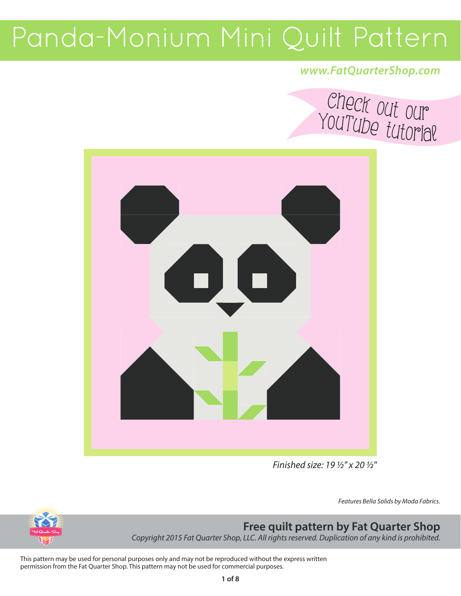### *www.FatQuarterShop.com*





*Finished size: 19 ½" x 20 ½"*

*Features Bella Solids by Moda Fabrics.*



### **Free quilt pattern by Fat Quarter Shop**

*Copyright 2015 Fat Quarter Shop, LLC. All rights reserved. Duplication of any kind is prohibited.* 

This pattern may be used for personal purposes only and may not be reproduced without the express written permission from the Fat Quarter Shop. This pattern may not be used for commercial purposes.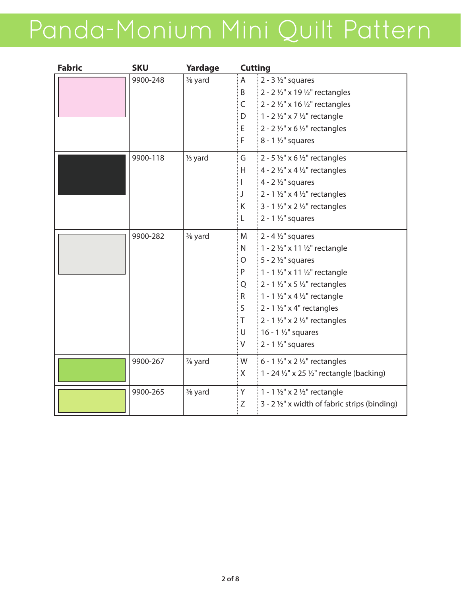| <b>Fabric</b> | <b>SKU</b> | Yardage              | <b>Cutting</b> |                                                                 |
|---------------|------------|----------------------|----------------|-----------------------------------------------------------------|
|               | 9900-248   | 3/ <sub>8</sub> yard | A              | $2 - 3$ 1/2" squares                                            |
|               |            |                      | B              | 2 - 2 1/2" x 19 1/2" rectangles                                 |
|               |            |                      | $\mathsf{C}$   | 2 - 2 $\frac{1}{2}$ " x 16 $\frac{1}{2}$ " rectangles           |
|               |            |                      | D              | 1 - 2 $\frac{1}{2}$ " x 7 $\frac{1}{2}$ " rectangle             |
|               |            |                      | E              | 2 - 2 $\frac{1}{2}$ " x 6 $\frac{1}{2}$ " rectangles            |
|               |            |                      | F              | $8 - 1$ 1/2" squares                                            |
|               | 9900-118   | 1/ <sub>3</sub> yard | G              | 2 - 5 $\frac{1}{2}$ " x 6 $\frac{1}{2}$ " rectangles            |
|               |            |                      | H              | 4 - 2 $\frac{1}{2}$ " x 4 $\frac{1}{2}$ " rectangles            |
|               |            |                      |                | 4 - $2\frac{1}{2}$ " squares                                    |
|               |            |                      | J              | 2 - 1 $\frac{1}{2}$ " x 4 $\frac{1}{2}$ " rectangles            |
|               |            |                      | K              | 3 - 1 $\frac{1}{2}$ " x 2 $\frac{1}{2}$ " rectangles            |
|               |            |                      | L              | $2 - 1$ 1/2" squares                                            |
|               | 9900-282   | 3/ <sub>8</sub> yard | M              | $2 - 4$ 1/2" squares                                            |
|               |            |                      | $\mathsf{N}$   | 1 - 2 1/2" x 11 1/2" rectangle                                  |
|               |            |                      | O              | $5 - 2$ 1/2" squares                                            |
|               |            |                      | P              | 1 - 1 1/2" x 11 1/2" rectangle                                  |
|               |            |                      | Q              | 2 - 1 $\frac{1}{2}$ " x 5 $\frac{1}{2}$ " rectangles            |
|               |            |                      | R              | 1 - 1 $\frac{1}{2}$ " x 4 $\frac{1}{2}$ " rectangle             |
|               |            |                      | S              | 2 - 1 $\frac{1}{2}$ " x 4" rectangles                           |
|               |            |                      | Τ              | 2 - 1 $\frac{1}{2}$ " x 2 $\frac{1}{2}$ " rectangles            |
|               |            |                      | $\cup$         | 16 - 1 $\frac{1}{2}$ " squares                                  |
|               |            |                      | V              | $2 - 1$ 1/2" squares                                            |
|               | 9900-267   | 1/8 yard             | W              | 6 - 1 $\frac{1}{2}$ " x 2 $\frac{1}{2}$ " rectangles            |
|               |            |                      | X              | 1 - 24 $\frac{1}{2}$ " x 25 $\frac{1}{2}$ " rectangle (backing) |
|               | 9900-265   | 3/ <sub>8</sub> yard | : Y            | 1 - 1 $\frac{1}{2}$ " x 2 $\frac{1}{2}$ " rectangle             |
|               |            |                      | Ζ              | 3 - 2 1/2" x width of fabric strips (binding)                   |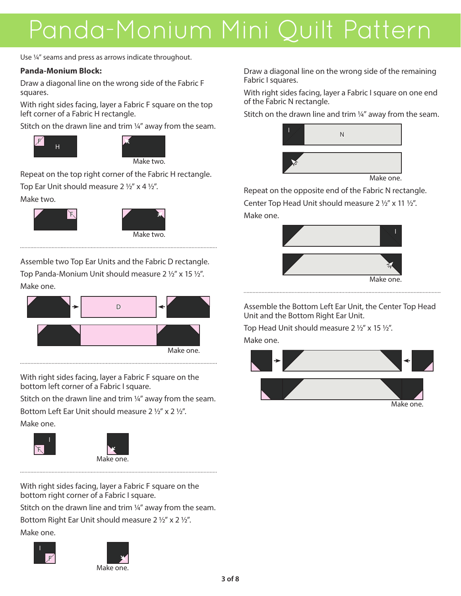Use ¼" seams and press as arrows indicate throughout.

#### **Panda-Monium Block:**

Draw a diagonal line on the wrong side of the Fabric F squares.

With right sides facing, layer a Fabric F square on the top left corner of a Fabric H rectangle.

Stitch on the drawn line and trim 1/4" away from the seam.





Make two.

Repeat on the top right corner of the Fabric H rectangle.

Top Ear Unit should measure 2 ½" x 4 ½".

Make two.





Assemble two Top Ear Units and the Fabric D rectangle. Top Panda-Monium Unit should measure 2 ½" x 15 ½". Make one.



With right sides facing, layer a Fabric F square on the bottom left corner of a Fabric I square.

Stitch on the drawn line and trim ¼" away from the seam. Bottom Left Ear Unit should measure 2 ½" x 2 ½". Make one.

F





With right sides facing, layer a Fabric F square on the bottom right corner of a Fabric I square. Stitch on the drawn line and trim 1/4" away from the seam. Bottom Right Ear Unit should measure 2 ½" x 2 ½".

Make one.





Draw a diagonal line on the wrong side of the remaining Fabric I squares.

With right sides facing, layer a Fabric I square on one end of the Fabric N rectangle.

Stitch on the drawn line and trim 1/4" away from the seam.



Make one.

Repeat on the opposite end of the Fabric N rectangle. Center Top Head Unit should measure 2 ½" x 11 ½". Make one.



Assemble the Bottom Left Ear Unit, the Center Top Head Unit and the Bottom Right Ear Unit.

Top Head Unit should measure 2 ½" x 15 ½".

Make one.

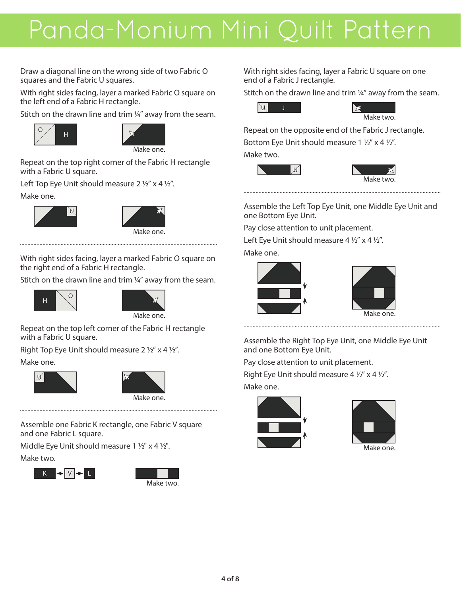Draw a diagonal line on the wrong side of two Fabric O squares and the Fabric U squares.

With right sides facing, layer a marked Fabric O square on the left end of a Fabric H rectangle.

Stitch on the drawn line and trim 1/4" away from the seam.





Make one.

Repeat on the top right corner of the Fabric H rectangle with a Fabric U square.

Left Top Eye Unit should measure 2 ½" x 4 ½".

#### Make one.



With right sides facing, layer a marked Fabric O square on the right end of a Fabric H rectangle.

Stitch on the drawn line and trim 1/4" away from the seam.





Repeat on the top left corner of the Fabric H rectangle with a Fabric U square.

Right Top Eye Unit should measure 2 ½" x 4 ½". Make one.





Assemble one Fabric K rectangle, one Fabric V square and one Fabric L square.

Middle Eye Unit should measure 1 ½" x 4 ½".

Make two.





With right sides facing, layer a Fabric U square on one end of a Fabric J rectangle.

Stitch on the drawn line and trim 1/4" away from the seam.



Make two.

Repeat on the opposite end of the Fabric J rectangle. Bottom Eye Unit should measure 1 ½" x 4 ½".

Make two.



Assemble the Left Top Eye Unit, one Middle Eye Unit and one Bottom Eye Unit.

Pay close attention to unit placement.

Left Eye Unit should measure 4  $\frac{1}{2}$ " x 4  $\frac{1}{2}$ ".

Make one.





Assemble the Right Top Eye Unit, one Middle Eye Unit and one Bottom Eye Unit.

Pay close attention to unit placement.

Right Eye Unit should measure 4  $\frac{1}{2}$ " x 4  $\frac{1}{2}$ ". Make one.



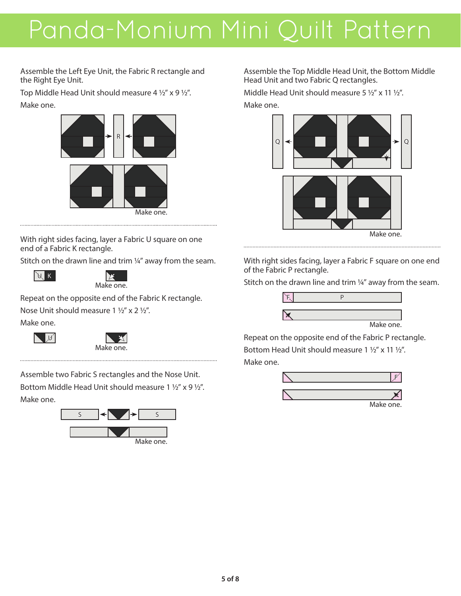Assemble the Left Eye Unit, the Fabric R rectangle and the Right Eye Unit.

Top Middle Head Unit should measure 4 ½" x 9 ½". Make one.



With right sides facing, layer a Fabric U square on one end of a Fabric K rectangle.

Stitch on the drawn line and trim ¼" away from the seam.





Repeat on the opposite end of the Fabric K rectangle. Nose Unit should measure 1 ½" x 2 ½".

Make one.

| U



Assemble two Fabric S rectangles and the Nose Unit. Bottom Middle Head Unit should measure 1 ½" x 9 ½". Make one.



Assemble the Top Middle Head Unit, the Bottom Middle Head Unit and two Fabric Q rectangles.

Middle Head Unit should measure 5 ½" x 11 ½".

Make one.



With right sides facing, layer a Fabric F square on one end of the Fabric P rectangle.

Stitch on the drawn line and trim 1/4" away from the seam.



Repeat on the opposite end of the Fabric P rectangle. Bottom Head Unit should measure 1 ½" x 11 ½". Make one.

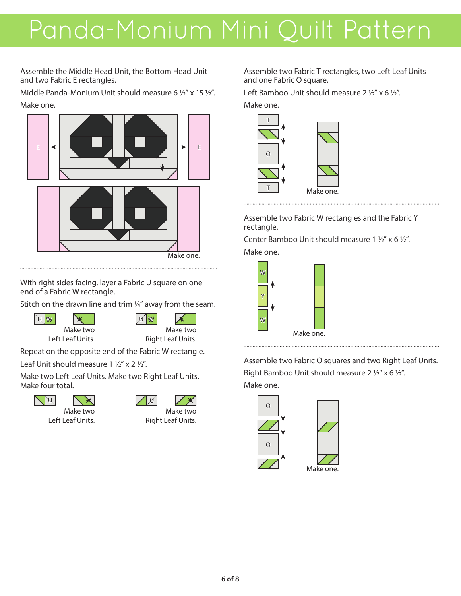Assemble the Middle Head Unit, the Bottom Head Unit and two Fabric E rectangles.

Middle Panda-Monium Unit should measure 6 ½" x 15 ½". Make one.



With right sides facing, layer a Fabric U square on one end of a Fabric W rectangle.

Stitch on the drawn line and trim ¼" away from the seam.

U W Make two Left Leaf Units.



Repeat on the opposite end of the Fabric W rectangle.

Leaf Unit should measure 1 ½" x 2 ½".

Make two Left Leaf Units. Make two Right Leaf Units. Make four total.





Make two Left Leaf Units.

| M |                   |
|---|-------------------|
|   | Make two          |
|   | Right Leaf Units. |

Assemble two Fabric T rectangles, two Left Leaf Units and one Fabric O square.

Left Bamboo Unit should measure 2 ½" x 6 ½".

Make one.



Assemble two Fabric W rectangles and the Fabric Y rectangle.

Center Bamboo Unit should measure 1 ½" x 6 ½".

Make one.

................................



Assemble two Fabric O squares and two Right Leaf Units. Right Bamboo Unit should measure 2 ½" x 6 ½". Make one.



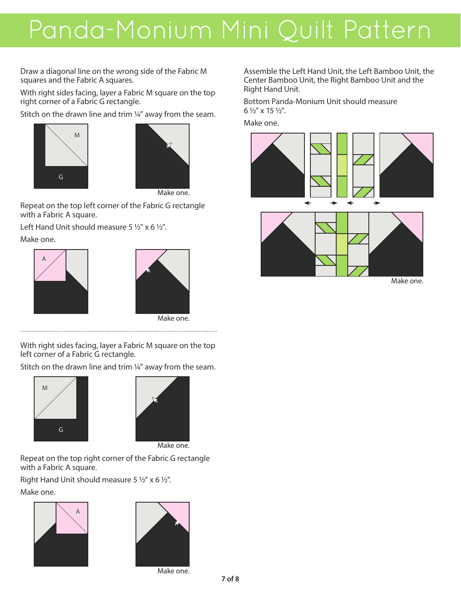Draw a diagonal line on the wrong side of the Fabric M squares and the Fabric A squares.

With right sides facing, layer a Fabric M square on the top right corner of a Fabric G rectangle.

Stitch on the drawn line and trim 1/4" away from the seam.





Repeat on the top left corner of the Fabric G rectangle with a Fabric A square.

Left Hand Unit should measure 5 ½" x 6 ½".

Make one.





With right sides facing, layer a Fabric M square on the top left corner of a Fabric G rectangle.

Stitch on the drawn line and trim ¼" away from the seam.





Make one.

Repeat on the top right corner of the Fabric G rectangle with a Fabric A square.

Right Hand Unit should measure 5 ½" x 6 ½".

Make one.





Make one.

Assemble the Left Hand Unit, the Left Bamboo Unit, the Center Bamboo Unit, the Right Bamboo Unit and the Right Hand Unit.

Bottom Panda-Monium Unit should measure 6 ½" x 15 ½".

Make one.





Make one.